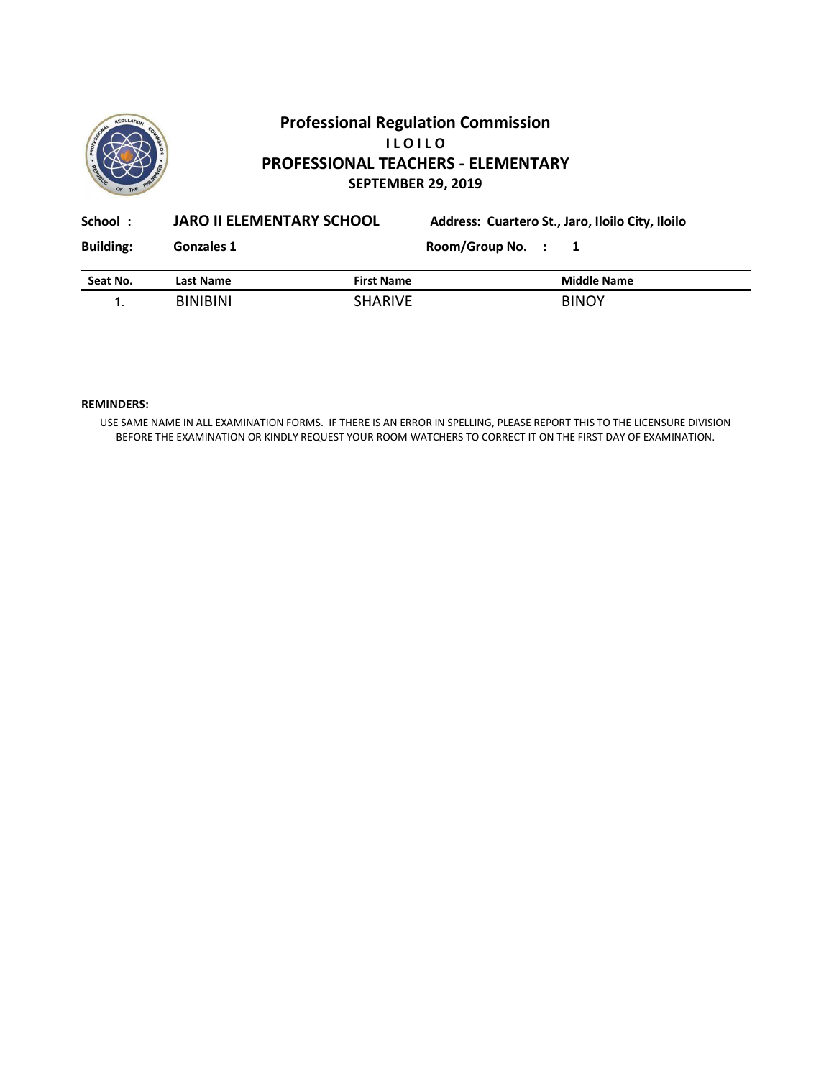

# **Professional Regulation Commission I L O I L O PROFESSIONAL TEACHERS - ELEMENTARY SEPTEMBER 29, 2019**

| School:          | <b>JARO II ELEMENTARY SCHOOL</b> |                   |                    | Address: Cuartero St., Jaro, Iloilo City, Iloilo |
|------------------|----------------------------------|-------------------|--------------------|--------------------------------------------------|
| <b>Building:</b> | <b>Gonzales 1</b>                |                   | Room/Group No. : 1 |                                                  |
| Seat No.         | Last Name                        | <b>First Name</b> |                    | <b>Middle Name</b>                               |
|                  | <b>BINIBINI</b>                  | <b>SHARIVE</b>    |                    | <b>BINOY</b>                                     |

### **REMINDERS:**

USE SAME NAME IN ALL EXAMINATION FORMS. IF THERE IS AN ERROR IN SPELLING, PLEASE REPORT THIS TO THE LICENSURE DIVISION BEFORE THE EXAMINATION OR KINDLY REQUEST YOUR ROOM WATCHERS TO CORRECT IT ON THE FIRST DAY OF EXAMINATION.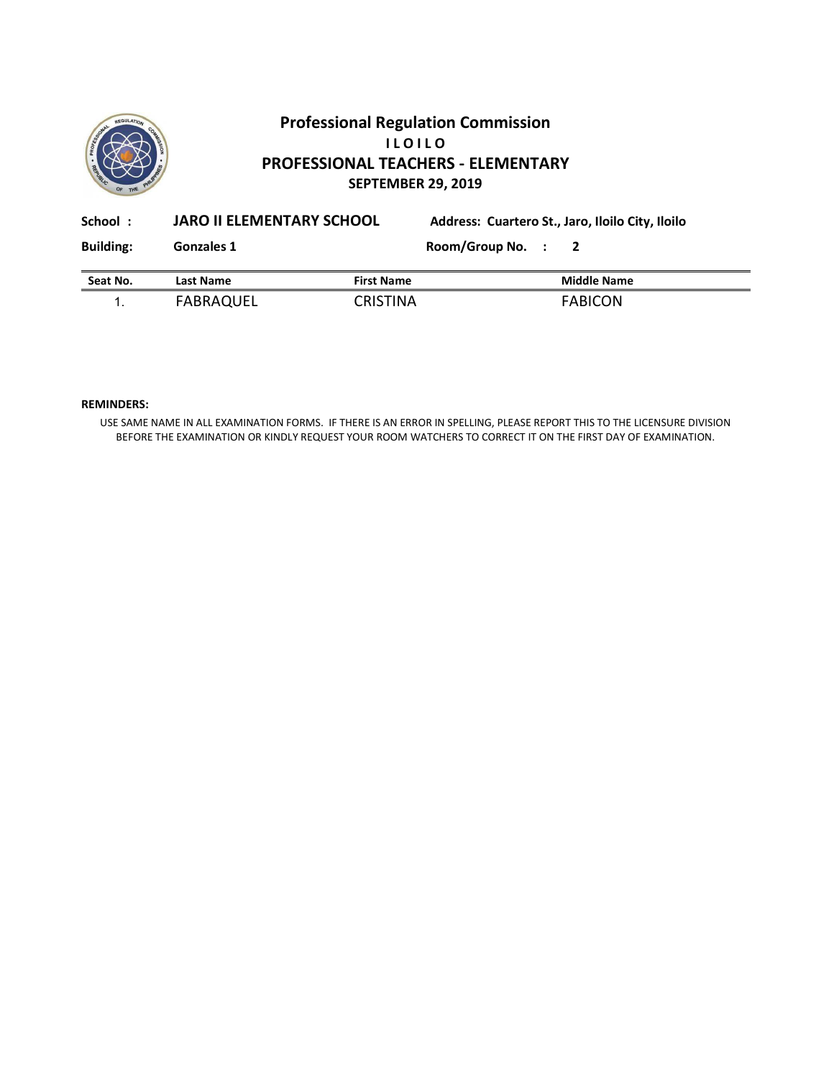

# **Professional Regulation Commission I L O I L O PROFESSIONAL TEACHERS - ELEMENTARY SEPTEMBER 29, 2019**

| School:          | <b>JARO II ELEMENTARY SCHOOL</b> |                   | Address: Cuartero St., Jaro, Iloilo City, Iloilo |  |                    |  |
|------------------|----------------------------------|-------------------|--------------------------------------------------|--|--------------------|--|
| <b>Building:</b> | Gonzales 1                       |                   | Room/Group No. : 2                               |  |                    |  |
| Seat No.         | Last Name                        | <b>First Name</b> |                                                  |  | <b>Middle Name</b> |  |
|                  | FABRAQUEL                        | <b>CRISTINA</b>   |                                                  |  | <b>FABICON</b>     |  |

### **REMINDERS:**

USE SAME NAME IN ALL EXAMINATION FORMS. IF THERE IS AN ERROR IN SPELLING, PLEASE REPORT THIS TO THE LICENSURE DIVISION BEFORE THE EXAMINATION OR KINDLY REQUEST YOUR ROOM WATCHERS TO CORRECT IT ON THE FIRST DAY OF EXAMINATION.